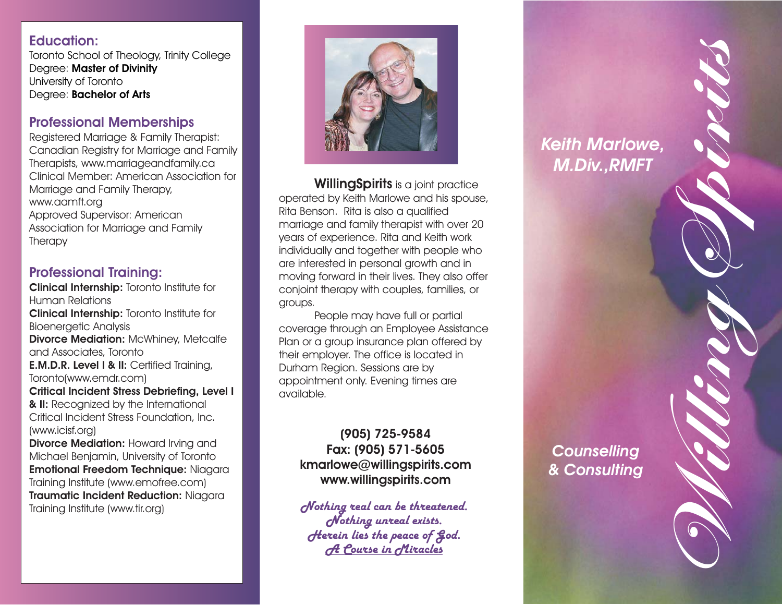Education Control interviews the space of the space of the space of the space of the space of the space of the space of the space of the space of the space of the space of the space of the space of the space of the space o



**WillingSpirits** is a joint practice operated by Keith Marlowe and his spouse, Rita Benson. Rita is also <sup>a</sup> qualified marriage and family therapist with over 20 years of experience. Rita and Keith work individually and together with people who are interested in personal growth and in moving forward in their lives. They also offer conjoint therapy with couples, families, or groups.

People may have full or partial coverage through an Employee Assistance Plan or <sup>a</sup> group insurance plan offered by their employer. The office is located in Durham Region. Sessions are by appointment only. Evening times are available.

# **(905) 725-9584 Fax: (905) 571-5605 kmarlowe@willingspirits.com www.willingspirits.com**

*Keith Marlowe, M.Div.,RMFT* **WillingSpirits**

*Counselling & Consulting*